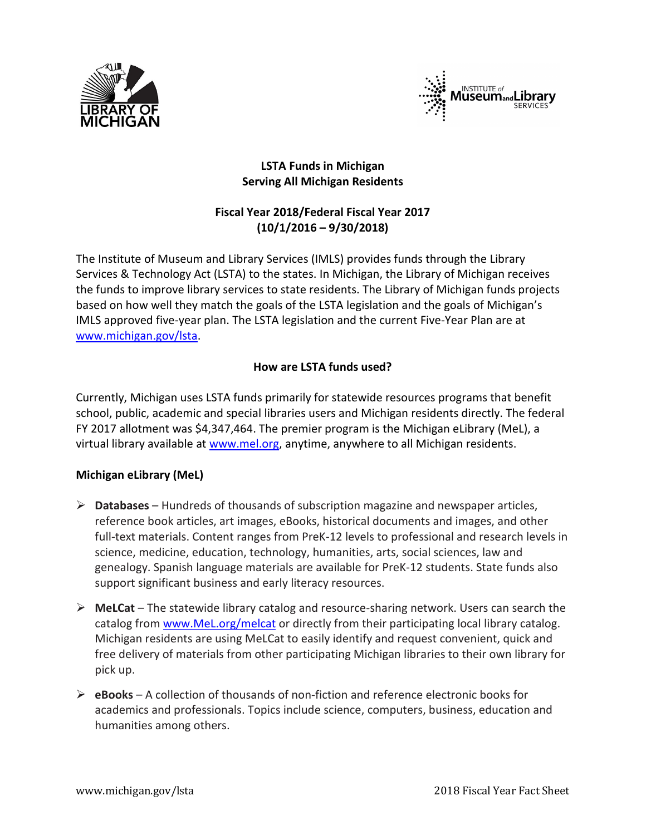



## **LSTA Funds in Michigan Serving All Michigan Residents**

# **Fiscal Year 2018/Federal Fiscal Year 2017 (10/1/2016 – 9/30/2018)**

The Institute of Museum and Library Services (IMLS) provides funds through the Library Services & Technology Act (LSTA) to the states. In Michigan, the Library of Michigan receives the funds to improve library services to state residents. The Library of Michigan funds projects based on how well they match the goals of the LSTA legislation and the goals of Michigan's IMLS approved five-year plan. The LSTA legislation and the current Five-Year Plan are at [www.michigan.gov/lsta.](http://www.michigan.gov/lsta)

## **How are LSTA funds used?**

Currently, Michigan uses LSTA funds primarily for statewide resources programs that benefit school, public, academic and special libraries users and Michigan residents directly. The federal FY 2017 allotment was \$4,347,464. The premier program is the Michigan eLibrary (MeL), a virtual library available at [www.mel.org,](http://www.mel.org/) anytime, anywhere to all Michigan residents.

### **Michigan eLibrary (MeL)**

- **Databases**  Hundreds of thousands of subscription magazine and newspaper articles, reference book articles, art images, eBooks, historical documents and images, and other full-text materials. Content ranges from PreK-12 levels to professional and research levels in science, medicine, education, technology, humanities, arts, social sciences, law and genealogy. Spanish language materials are available for PreK-12 students. State funds also support significant business and early literacy resources.
- **MeLCat**  The statewide library catalog and resource-sharing network. Users can search the catalog from [www.MeL.org/](http://www.mel.org/)melcat or directly from their participating local library catalog. Michigan residents are using MeLCat to easily identify and request convenient, quick and free delivery of materials from other participating Michigan libraries to their own library for pick up.
- **eBooks**  A collection of thousands of non-fiction and reference electronic books for academics and professionals. Topics include science, computers, business, education and humanities among others.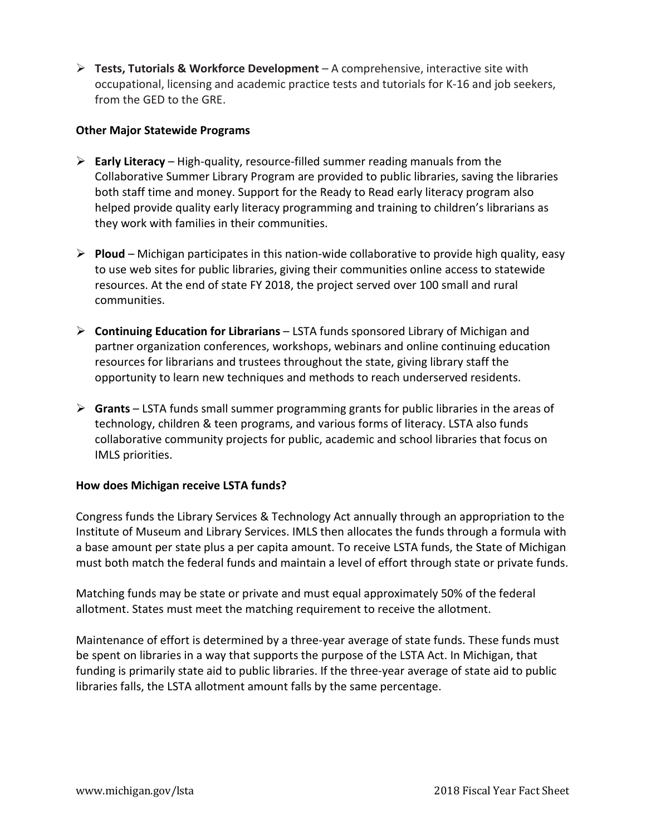**Tests, Tutorials & Workforce Development** – A comprehensive, interactive site with occupational, licensing and academic practice tests and tutorials for K-16 and job seekers, from the GED to the GRE.

### **Other Major Statewide Programs**

- **Early Literacy** High-quality, resource-filled summer reading manuals from the Collaborative Summer Library Program are provided to public libraries, saving the libraries both staff time and money. Support for the Ready to Read early literacy program also helped provide quality early literacy programming and training to children's librarians as they work with families in their communities.
- **Ploud** Michigan participates in this nation-wide collaborative to provide high quality, easy to use web sites for public libraries, giving their communities online access to statewide resources. At the end of state FY 2018, the project served over 100 small and rural communities.
- **Continuing Education for Librarians** LSTA funds sponsored Library of Michigan and partner organization conferences, workshops, webinars and online continuing education resources for librarians and trustees throughout the state, giving library staff the opportunity to learn new techniques and methods to reach underserved residents.
- **Grants** LSTA funds small summer programming grants for public libraries in the areas of technology, children & teen programs, and various forms of literacy. LSTA also funds collaborative community projects for public, academic and school libraries that focus on IMLS priorities.

### **How does Michigan receive LSTA funds?**

Congress funds the Library Services & Technology Act annually through an appropriation to the Institute of Museum and Library Services. IMLS then allocates the funds through a formula with a base amount per state plus a per capita amount. To receive LSTA funds, the State of Michigan must both match the federal funds and maintain a level of effort through state or private funds.

Matching funds may be state or private and must equal approximately 50% of the federal allotment. States must meet the matching requirement to receive the allotment.

Maintenance of effort is determined by a three-year average of state funds. These funds must be spent on libraries in a way that supports the purpose of the LSTA Act. In Michigan, that funding is primarily state aid to public libraries. If the three-year average of state aid to public libraries falls, the LSTA allotment amount falls by the same percentage.